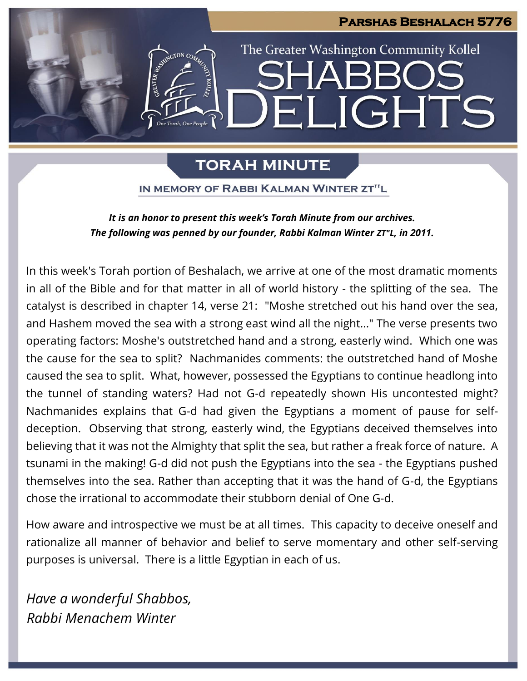

# **TORAH MINUTE**

IN MEMORY OF RABBI KALMAN WINTER ZT"L

*It is an honor to present this week's Torah Minute from our archives. The following was penned by our founder, Rabbi Kalman Winter ZT"L, in 2011.*

In this week's Torah portion of Beshalach, we arrive at one of the most dramatic moments in all of the Bible and for that matter in all of world history - the splitting of the sea. The catalyst is described in chapter 14, verse 21: "Moshe stretched out his hand over the sea, and Hashem moved the sea with a strong east wind all the night..." The verse presents two operating factors: Moshe's outstretched hand and a strong, easterly wind. Which one was the cause for the sea to split? Nachmanides comments: the outstretched hand of Moshe caused the sea to split. What, however, possessed the Egyptians to continue headlong into the tunnel of standing waters? Had not G-d repeatedly shown His uncontested might? Nachmanides explains that G-d had given the Egyptians a moment of pause for selfdeception. Observing that strong, easterly wind, the Egyptians deceived themselves into believing that it was not the Almighty that split the sea, but rather a freak force of nature. A tsunami in the making! G-d did not push the Egyptians into the sea - the Egyptians pushed themselves into the sea. Rather than accepting that it was the hand of G-d, the Egyptians chose the irrational to accommodate their stubborn denial of One G-d.

How aware and introspective we must be at all times. This capacity to deceive oneself and rationalize all manner of behavior and belief to serve momentary and other self-serving purposes is universal. There is a little Egyptian in each of us.

*Have a wonderful Shabbos, Rabbi Menachem Winter*